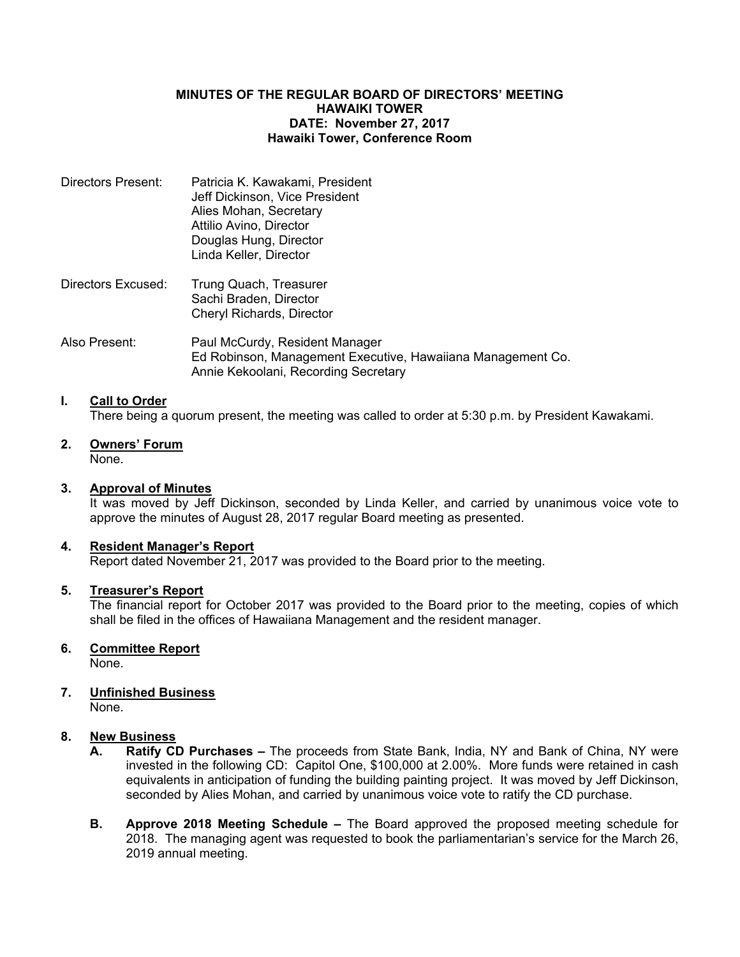### **MINUTES OF THE REGULAR BOARD OF DIRECTORS' MEETING HAWAIKI TOWER DATE: November 27, 2017 Hawaiki Tower, Conference Room**

| Directors Present: | Patricia K. Kawakami, President |
|--------------------|---------------------------------|
|                    | Jeff Dickinson, Vice President  |
|                    | Alies Mohan, Secretary          |
|                    | Attilio Avino, Director         |
|                    | Douglas Hung, Director          |
|                    | Linda Keller, Director          |
|                    |                                 |

- Directors Excused: Trung Quach, Treasurer Sachi Braden, Director Cheryl Richards, Director
- Also Present: Paul McCurdy, Resident Manager Ed Robinson, Management Executive, Hawaiiana Management Co. Annie Kekoolani, Recording Secretary

# **I. Call to Order**

There being a quorum present, the meeting was called to order at 5:30 p.m. by President Kawakami.

**2. Owners' Forum** None.

## **3. Approval of Minutes**

It was moved by Jeff Dickinson, seconded by Linda Keller, and carried by unanimous voice vote to approve the minutes of August 28, 2017 regular Board meeting as presented.

#### **4. Resident Manager's Report**

Report dated November 21, 2017 was provided to the Board prior to the meeting.

#### **5. Treasurer's Report**

The financial report for October 2017 was provided to the Board prior to the meeting, copies of which shall be filed in the offices of Hawaiiana Management and the resident manager.

## **6. Committee Report**

None.

# **7. Unfinished Business**

None.

## **8. New Business**

- **A. Ratify CD Purchases –** The proceeds from State Bank, India, NY and Bank of China, NY were invested in the following CD: Capitol One, \$100,000 at 2.00%. More funds were retained in cash equivalents in anticipation of funding the building painting project. It was moved by Jeff Dickinson, seconded by Alies Mohan, and carried by unanimous voice vote to ratify the CD purchase.
- **B. Approve 2018 Meeting Schedule –** The Board approved the proposed meeting schedule for 2018. The managing agent was requested to book the parliamentarian's service for the March 26, 2019 annual meeting.